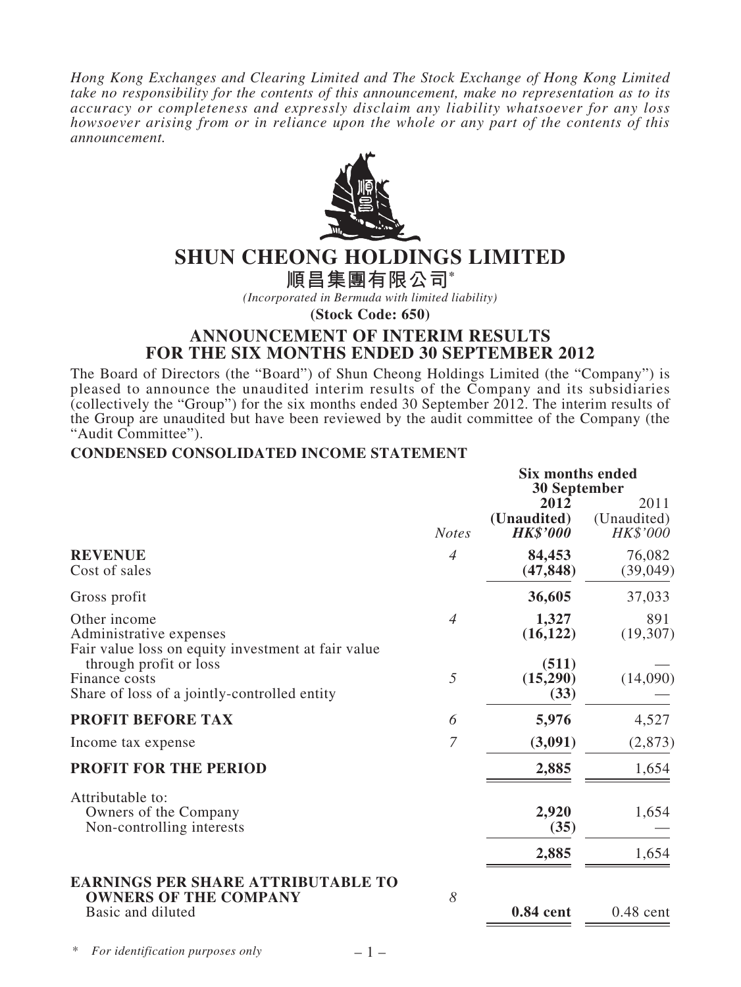*Hong Kong Exchanges and Clearing Limited and The Stock Exchange of Hong Kong Limited take no responsibility for the contents of this announcement, make no representation as to its accuracy or completeness and expressly disclaim any liability whatsoever for any loss howsoever arising from or in reliance upon the whole or any part of the contents of this announcement.*



# **SHUN CHEONG HOLDINGS LIMITED**

**順昌集團有限公司\***

*(Incorporated in Bermuda with limited liability)*

**(Stock Code: 650)**

### **ANNOUNCEMENT OF INTERIM RESULTS FOR THE SIX MONTHS ENDED 30 SEPTEMBER 2012**

The Board of Directors (the "Board") of Shun Cheong Holdings Limited (the "Company") is pleased to announce the unaudited interim results of the Company and its subsidiaries (collectively the "Group") for the six months ended 30 September  $2012$ . The interim results of the Group are unaudited but have been reviewed by the audit committee of the Company (the "Audit Committee").

### **CONDENSED CONSOLIDATED INCOME STATEMENT**

| <b>Notes</b><br>$\overline{4}$<br>$\overline{4}$<br>5 | 2012<br>(Unaudited)<br><b>HK\$'000</b><br>84,453<br>(47, 848)<br>36,605<br>1,327<br>(16, 122)<br>(511) | 2011<br>(Unaudited)<br>HK\$'000<br>76,082<br>(39,049)<br>37,033<br>891<br>(19,307) |
|-------------------------------------------------------|--------------------------------------------------------------------------------------------------------|------------------------------------------------------------------------------------|
|                                                       |                                                                                                        |                                                                                    |
|                                                       |                                                                                                        |                                                                                    |
|                                                       |                                                                                                        |                                                                                    |
|                                                       |                                                                                                        |                                                                                    |
|                                                       | (15,290)<br>(33)                                                                                       | (14,090)                                                                           |
| 6                                                     | 5,976                                                                                                  | 4,527                                                                              |
| $\overline{7}$                                        | (3,091)                                                                                                | (2, 873)                                                                           |
|                                                       | 2,885                                                                                                  | 1,654                                                                              |
|                                                       | 2,920<br>(35)                                                                                          | 1,654                                                                              |
|                                                       | 2,885                                                                                                  | 1,654                                                                              |
| 8                                                     | 0.84 cent                                                                                              | $0.48$ cent                                                                        |
|                                                       |                                                                                                        |                                                                                    |

– 1 –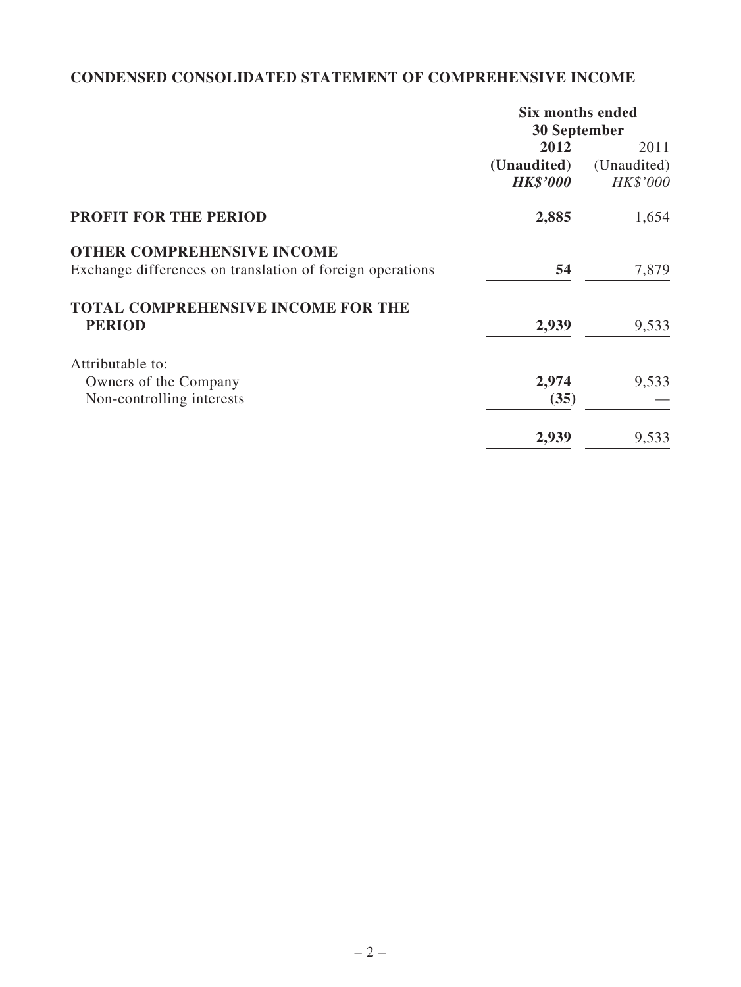## **CONDENSED CONSOLIDATED STATEMENT OF COMPREHENSIVE INCOME**

|                                                           | <b>Six months ended</b> |             |  |
|-----------------------------------------------------------|-------------------------|-------------|--|
|                                                           | 30 September            |             |  |
|                                                           | 2012<br>2011            |             |  |
|                                                           | (Unaudited)             | (Unaudited) |  |
|                                                           | <b>HK\$'000</b>         | HK\$'000    |  |
| <b>PROFIT FOR THE PERIOD</b>                              | 2,885                   | 1,654       |  |
| <b>OTHER COMPREHENSIVE INCOME</b>                         |                         |             |  |
| Exchange differences on translation of foreign operations | 54                      | 7,879       |  |
| <b>TOTAL COMPREHENSIVE INCOME FOR THE</b>                 |                         |             |  |
| <b>PERIOD</b>                                             | 2,939                   | 9,533       |  |
| Attributable to:                                          |                         |             |  |
| Owners of the Company                                     | 2,974                   | 9,533       |  |
| Non-controlling interests                                 | (35)                    |             |  |
|                                                           | 2,939                   | 9,533       |  |
|                                                           |                         |             |  |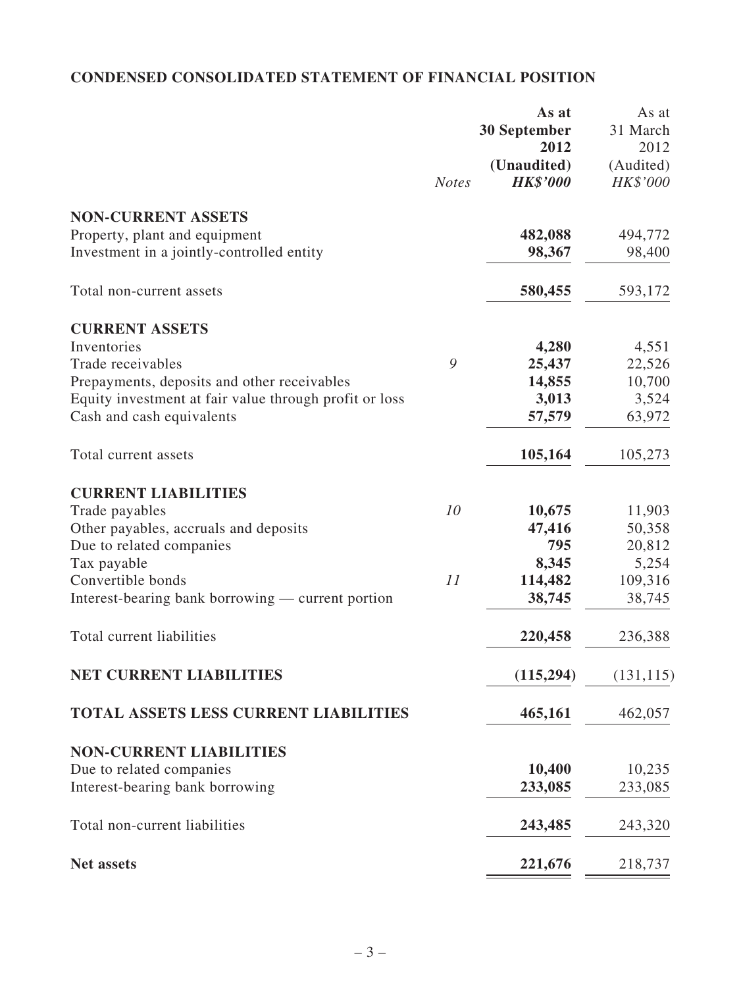## **CONDENSED CONSOLIDATED STATEMENT OF FINANCIAL POSITION**

|                                                        |              | As at               | As at      |
|--------------------------------------------------------|--------------|---------------------|------------|
|                                                        |              | <b>30 September</b> | 31 March   |
|                                                        |              | 2012                | 2012       |
|                                                        |              | (Unaudited)         | (Audited)  |
|                                                        | <b>Notes</b> | <b>HK\$'000</b>     | HK\$'000   |
|                                                        |              |                     |            |
| <b>NON-CURRENT ASSETS</b>                              |              |                     |            |
| Property, plant and equipment                          |              | 482,088             | 494,772    |
| Investment in a jointly-controlled entity              |              | 98,367              | 98,400     |
|                                                        |              |                     |            |
| Total non-current assets                               |              | 580,455             | 593,172    |
| <b>CURRENT ASSETS</b>                                  |              |                     |            |
| Inventories                                            |              | 4,280               | 4,551      |
| Trade receivables                                      | 9            | 25,437              | 22,526     |
|                                                        |              |                     | 10,700     |
| Prepayments, deposits and other receivables            |              | 14,855              |            |
| Equity investment at fair value through profit or loss |              | 3,013               | 3,524      |
| Cash and cash equivalents                              |              | 57,579              | 63,972     |
| Total current assets                                   |              | 105,164             | 105,273    |
| <b>CURRENT LIABILITIES</b>                             |              |                     |            |
| Trade payables                                         | 10           | 10,675              | 11,903     |
| Other payables, accruals and deposits                  |              | 47,416              | 50,358     |
| Due to related companies                               |              | 795                 | 20,812     |
| Tax payable                                            |              | 8,345               | 5,254      |
| Convertible bonds                                      | 11           | 114,482             | 109,316    |
|                                                        |              |                     |            |
| Interest-bearing bank borrowing — current portion      |              | 38,745              | 38,745     |
| Total current liabilities                              |              | 220,458             | 236,388    |
| <b>NET CURRENT LIABILITIES</b>                         |              |                     |            |
|                                                        |              | (115, 294)          | (131, 115) |
| <b>TOTAL ASSETS LESS CURRENT LIABILITIES</b>           |              | 465,161             | 462,057    |
| <b>NON-CURRENT LIABILITIES</b>                         |              |                     |            |
| Due to related companies                               |              | 10,400              | 10,235     |
| Interest-bearing bank borrowing                        |              | 233,085             | 233,085    |
|                                                        |              |                     |            |
| Total non-current liabilities                          |              | 243,485             | 243,320    |
| Net assets                                             |              | 221,676             | 218,737    |
|                                                        |              |                     |            |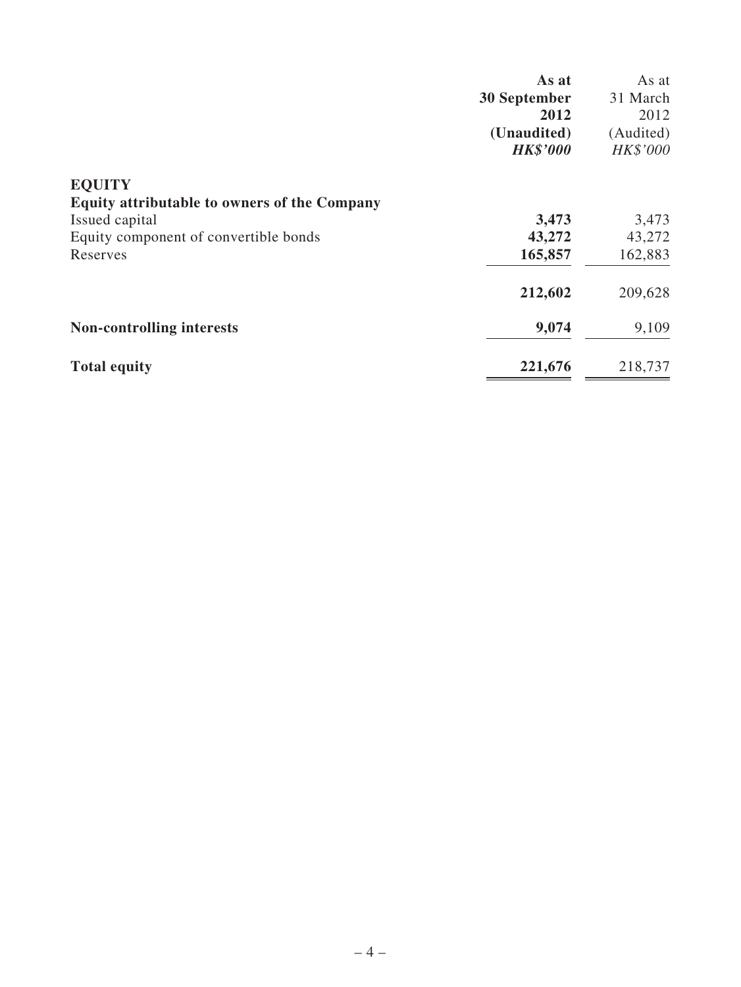|                                                     | As at               | As at     |
|-----------------------------------------------------|---------------------|-----------|
|                                                     | <b>30 September</b> | 31 March  |
|                                                     | 2012                | 2012      |
|                                                     | (Unaudited)         | (Audited) |
|                                                     | <b>HK\$'000</b>     | HK\$'000  |
| <b>EQUITY</b>                                       |                     |           |
| <b>Equity attributable to owners of the Company</b> |                     |           |
| Issued capital                                      | 3,473               | 3,473     |
| Equity component of convertible bonds               | 43,272              | 43,272    |
| Reserves                                            | 165,857             | 162,883   |
|                                                     | 212,602             | 209,628   |
| <b>Non-controlling interests</b>                    | 9,074               | 9,109     |
| <b>Total equity</b>                                 | 221,676             | 218,737   |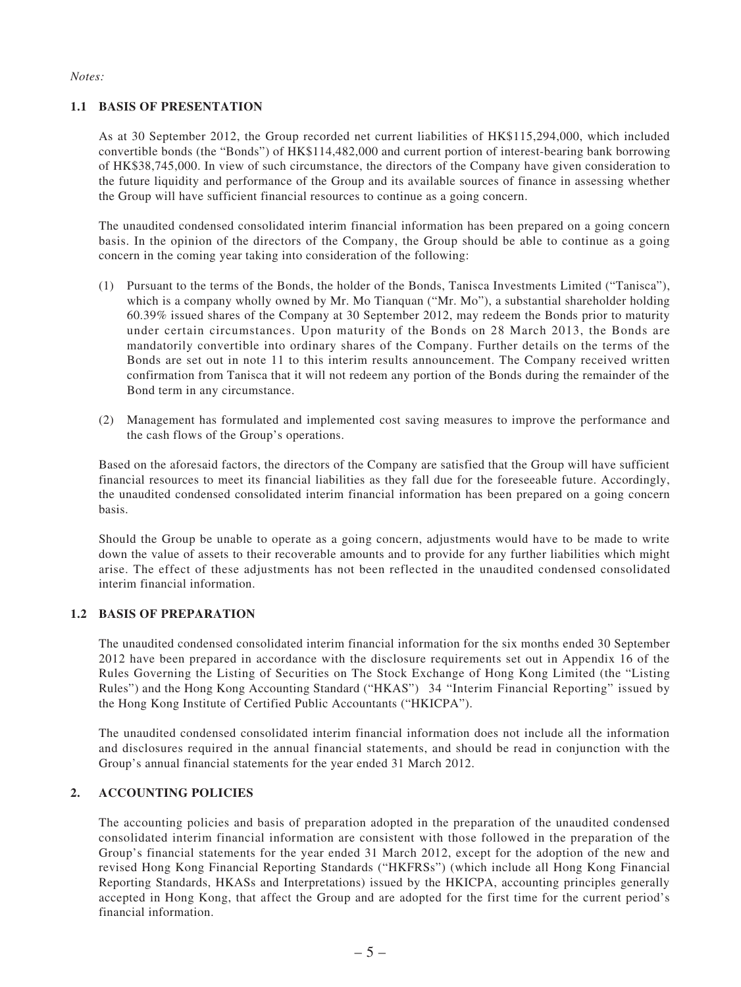#### *Notes:*

#### **1.1 BASIS OF PRESENTATION**

As at 30 September 2012, the Group recorded net current liabilities of HK\$115,294,000, which included convertible bonds (the "Bonds") of HK\$114,482,000 and current portion of interest-bearing bank borrowing of HK\$38,745,000. In view of such circumstance, the directors of the Company have given consideration to the future liquidity and performance of the Group and its available sources of finance in assessing whether the Group will have sufficient financial resources to continue as a going concern.

The unaudited condensed consolidated interim financial information has been prepared on a going concern basis. In the opinion of the directors of the Company, the Group should be able to continue as a going concern in the coming year taking into consideration of the following:

- (1) Pursuant to the terms of the Bonds, the holder of the Bonds, Tanisca Investments Limited ("Tanisca"), which is a company wholly owned by Mr. Mo Tianquan ("Mr. Mo"), a substantial shareholder holding 60.39% issued shares of the Company at 30 September 2012, may redeem the Bonds prior to maturity under certain circumstances. Upon maturity of the Bonds on 28 March 2013, the Bonds are mandatorily convertible into ordinary shares of the Company. Further details on the terms of the Bonds are set out in note 11 to this interim results announcement. The Company received written confirmation from Tanisca that it will not redeem any portion of the Bonds during the remainder of the Bond term in any circumstance.
- (2) Management has formulated and implemented cost saving measures to improve the performance and the cash flows of the Group's operations.

Based on the aforesaid factors, the directors of the Company are satisfied that the Group will have sufficient financial resources to meet its financial liabilities as they fall due for the foreseeable future. Accordingly, the unaudited condensed consolidated interim financial information has been prepared on a going concern basis.

Should the Group be unable to operate as a going concern, adjustments would have to be made to write down the value of assets to their recoverable amounts and to provide for any further liabilities which might arise. The effect of these adjustments has not been reflected in the unaudited condensed consolidated interim financial information.

#### **1.2 BASIS OF PREPARATION**

The unaudited condensed consolidated interim financial information for the six months ended 30 September 2012 have been prepared in accordance with the disclosure requirements set out in Appendix 16 of the Rules Governing the Listing of Securities on The Stock Exchange of Hong Kong Limited (the "Listing Rules") and the Hong Kong Accounting Standard ("HKAS") 34 "Interim Financial Reporting" issued by the Hong Kong Institute of Certified Public Accountants ("HKICPA").

The unaudited condensed consolidated interim financial information does not include all the information and disclosures required in the annual financial statements, and should be read in conjunction with the Group's annual financial statements for the year ended 31 March 2012.

#### **2. ACCOUNTING POLICIES**

The accounting policies and basis of preparation adopted in the preparation of the unaudited condensed consolidated interim financial information are consistent with those followed in the preparation of the Group's financial statements for the year ended 31 March 2012, except for the adoption of the new and revised Hong Kong Financial Reporting Standards ("HKFRSs") (which include all Hong Kong Financial Reporting Standards, HKASs and Interpretations) issued by the HKICPA, accounting principles generally accepted in Hong Kong, that affect the Group and are adopted for the first time for the current period's financial information.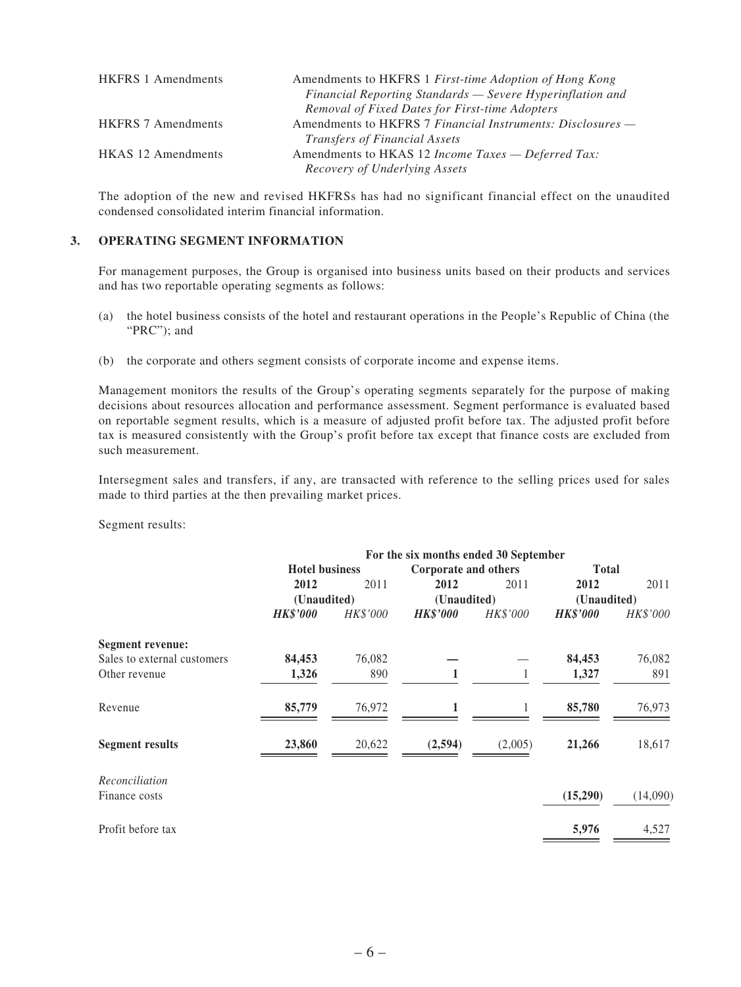| <b>HKFRS</b> 1 Amendments | Amendments to HKFRS 1 First-time Adoption of Hong Kong            |
|---------------------------|-------------------------------------------------------------------|
|                           | Financial Reporting Standards — Severe Hyperinflation and         |
|                           | Removal of Fixed Dates for First-time Adopters                    |
| <b>HKFRS</b> 7 Amendments | Amendments to HKFRS 7 Financial Instruments: Disclosures —        |
|                           | <i>Transfers of Financial Assets</i>                              |
| <b>HKAS</b> 12 Amendments | Amendments to HKAS 12 <i>Income Taxes</i> — <i>Deferred Tax</i> : |
|                           | Recovery of Underlying Assets                                     |

The adoption of the new and revised HKFRSs has had no significant financial effect on the unaudited condensed consolidated interim financial information.

#### **3. OPERATING SEGMENT INFORMATION**

For management purposes, the Group is organised into business units based on their products and services and has two reportable operating segments as follows:

- (a) the hotel business consists of the hotel and restaurant operations in the People's Republic of China (the "PRC"); and
- (b) the corporate and others segment consists of corporate income and expense items.

Management monitors the results of the Group's operating segments separately for the purpose of making decisions about resources allocation and performance assessment. Segment performance is evaluated based on reportable segment results, which is a measure of adjusted profit before tax. The adjusted profit before tax is measured consistently with the Group's profit before tax except that finance costs are excluded from such measurement.

Intersegment sales and transfers, if any, are transacted with reference to the selling prices used for sales made to third parties at the then prevailing market prices.

Segment results:

|                             | For the six months ended 30 September |          |                      |          |                 |          |
|-----------------------------|---------------------------------------|----------|----------------------|----------|-----------------|----------|
|                             | <b>Hotel business</b>                 |          | Corporate and others |          | <b>Total</b>    |          |
|                             | 2012                                  | 2011     | 2012                 | 2011     | 2012            | 2011     |
|                             | (Unaudited)                           |          | (Unaudited)          |          | (Unaudited)     |          |
|                             | <b>HK\$'000</b>                       | HK\$'000 | <b>HK\$'000</b>      | HK\$'000 | <b>HK\$'000</b> | HK\$'000 |
| Segment revenue:            |                                       |          |                      |          |                 |          |
| Sales to external customers | 84,453                                | 76,082   |                      |          | 84,453          | 76,082   |
| Other revenue               | 1,326                                 | 890      | 1                    |          | 1,327           | 891      |
| Revenue                     | 85,779                                | 76,972   | $\mathbf{1}$         |          | 85,780          | 76,973   |
| <b>Segment results</b>      | 23,860                                | 20,622   | (2,594)              | (2,005)  | 21,266          | 18,617   |
| Reconciliation              |                                       |          |                      |          |                 |          |
| Finance costs               |                                       |          |                      |          | (15,290)        | (14,090) |
| Profit before tax           |                                       |          |                      |          | 5,976           | 4,527    |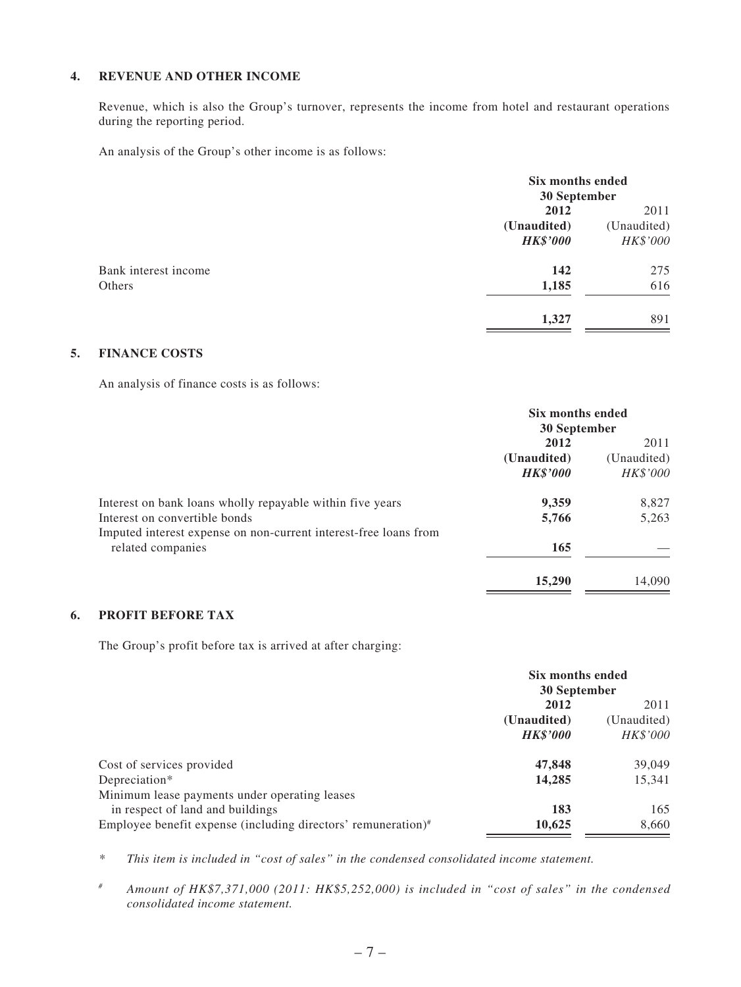#### **4. REVENUE AND OTHER INCOME**

Revenue, which is also the Group's turnover, represents the income from hotel and restaurant operations during the reporting period.

An analysis of the Group's other income is as follows:

| Six months ended |             |
|------------------|-------------|
| 30 September     |             |
| 2012             | 2011        |
| (Unaudited)      | (Unaudited) |
| <b>HK\$'000</b>  | HK\$'000    |
| 142              | 275         |
| 1,185            | 616         |
| 1,327            | 891         |
|                  |             |

#### **5. FINANCE COSTS**

An analysis of finance costs is as follows:

|                                                                  | Six months ended<br>30 September |             |
|------------------------------------------------------------------|----------------------------------|-------------|
|                                                                  |                                  |             |
|                                                                  | 2012                             | 2011        |
|                                                                  | (Unaudited)                      | (Unaudited) |
|                                                                  | <b>HK\$'000</b>                  | HK\$'000    |
| Interest on bank loans wholly repayable within five years        | 9,359                            | 8,827       |
| Interest on convertible bonds                                    | 5,766                            | 5,263       |
| Imputed interest expense on non-current interest-free loans from |                                  |             |
| related companies                                                | 165                              |             |
|                                                                  | 15,290                           | 14,090      |

#### **6. PROFIT BEFORE TAX**

The Group's profit before tax is arrived at after charging:

|                                                               | Six months ended    |                     |
|---------------------------------------------------------------|---------------------|---------------------|
|                                                               | 30 September        |                     |
|                                                               | 2012<br>(Unaudited) | 2011<br>(Unaudited) |
|                                                               |                     |                     |
|                                                               | <b>HK\$'000</b>     | <i>HK\$'000</i>     |
| Cost of services provided                                     | 47,848              | 39,049              |
| Depreciation*                                                 | 14,285              | 15,341              |
| Minimum lease payments under operating leases                 |                     |                     |
| in respect of land and buildings                              | 183                 | 165                 |
| Employee benefit expense (including directors' remuneration)# | 10,625              | 8,660               |

*\* This item is included in "cost of sales" in the condensed consolidated income statement.*

*# Amount of HK\$7,371,000 (2011: HK\$5,252,000) is included in "cost of sales" in the condensed consolidated income statement.*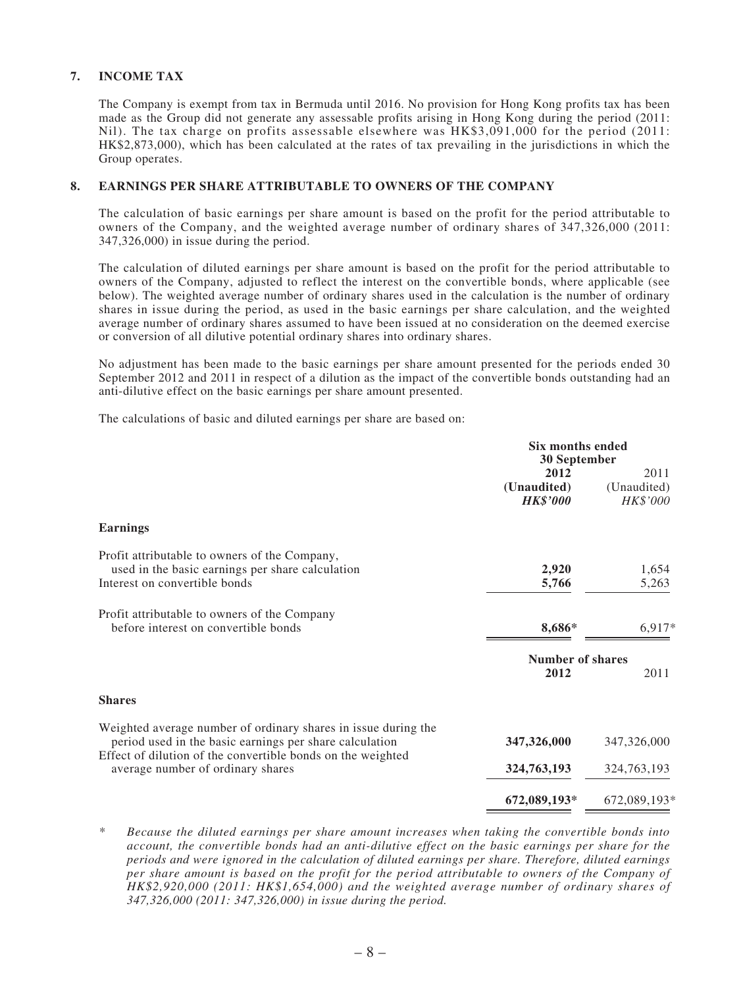#### **7. INCOME TAX**

The Company is exempt from tax in Bermuda until 2016. No provision for Hong Kong profits tax has been made as the Group did not generate any assessable profits arising in Hong Kong during the period (2011: Nil). The tax charge on profits assessable elsewhere was HK\$3,091,000 for the period (2011: HK\$2,873,000), which has been calculated at the rates of tax prevailing in the jurisdictions in which the Group operates.

#### **8. EARNINGS PER SHARE ATTRIBUTABLE TO OWNERS OF THE COMPANY**

The calculation of basic earnings per share amount is based on the profit for the period attributable to owners of the Company, and the weighted average number of ordinary shares of 347,326,000 (2011: 347,326,000) in issue during the period.

The calculation of diluted earnings per share amount is based on the profit for the period attributable to owners of the Company, adjusted to reflect the interest on the convertible bonds, where applicable (see below). The weighted average number of ordinary shares used in the calculation is the number of ordinary shares in issue during the period, as used in the basic earnings per share calculation, and the weighted average number of ordinary shares assumed to have been issued at no consideration on the deemed exercise or conversion of all dilutive potential ordinary shares into ordinary shares.

No adjustment has been made to the basic earnings per share amount presented for the periods ended 30 September 2012 and 2011 in respect of a dilution as the impact of the convertible bonds outstanding had an anti-dilutive effect on the basic earnings per share amount presented.

The calculations of basic and diluted earnings per share are based on:

|                                                                                                                                                                                          | Six months ended<br>30 September       |                                 |
|------------------------------------------------------------------------------------------------------------------------------------------------------------------------------------------|----------------------------------------|---------------------------------|
|                                                                                                                                                                                          | 2012<br>(Unaudited)<br><b>HK\$'000</b> | 2011<br>(Unaudited)<br>HK\$'000 |
| <b>Earnings</b>                                                                                                                                                                          |                                        |                                 |
| Profit attributable to owners of the Company,<br>used in the basic earnings per share calculation<br>Interest on convertible bonds                                                       | 2,920<br>5,766                         | 1,654<br>5,263                  |
| Profit attributable to owners of the Company<br>before interest on convertible bonds                                                                                                     | 8,686*                                 | 6,917*                          |
|                                                                                                                                                                                          | <b>Number of shares</b><br>2012        | 2011                            |
| <b>Shares</b>                                                                                                                                                                            |                                        |                                 |
| Weighted average number of ordinary shares in issue during the<br>period used in the basic earnings per share calculation<br>Effect of dilution of the convertible bonds on the weighted | 347,326,000                            | 347,326,000                     |
| average number of ordinary shares                                                                                                                                                        | 324,763,193                            | 324,763,193                     |
|                                                                                                                                                                                          | 672,089,193*                           | 672,089,193*                    |

*\* Because the diluted earnings per share amount increases when taking the convertible bonds into account, the convertible bonds had an anti-dilutive effect on the basic earnings per share for the periods and were ignored in the calculation of diluted earnings per share. Therefore, diluted earnings per share amount is based on the profit for the period attributable to owners of the Company of HK\$2,920,000 (2011: HK\$1,654,000) and the weighted average number of ordinary shares of 347,326,000 (2011: 347,326,000) in issue during the period.*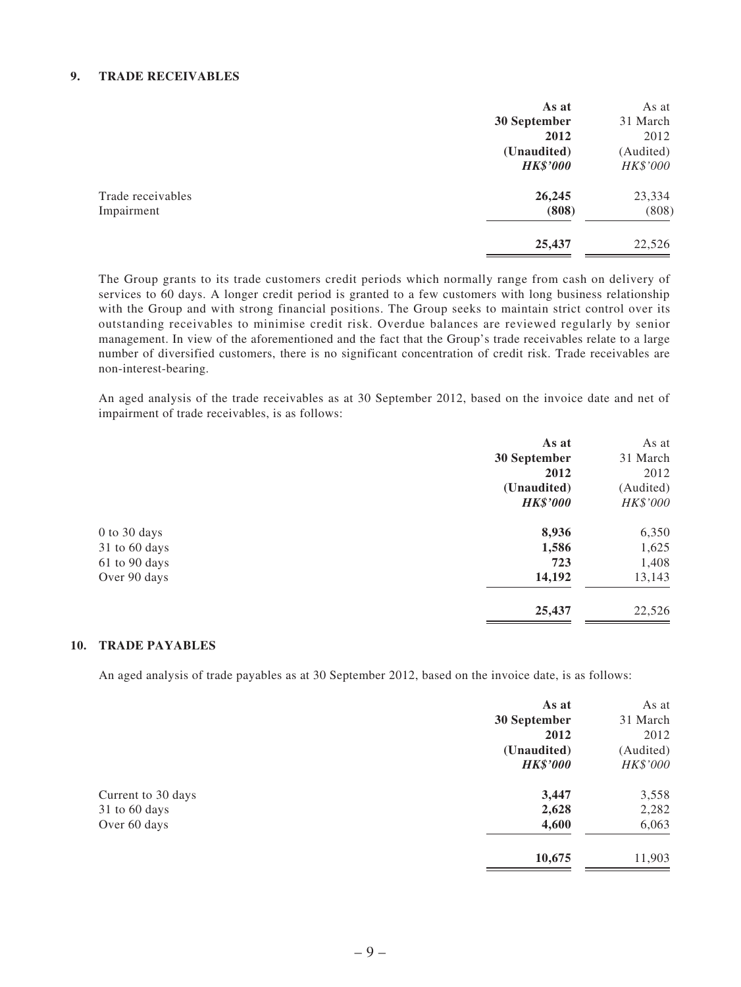#### **9. TRADE RECEIVABLES**

|                   | As at           | As at     |
|-------------------|-----------------|-----------|
|                   | 30 September    | 31 March  |
|                   | 2012            | 2012      |
|                   | (Unaudited)     | (Audited) |
|                   | <b>HK\$'000</b> | HK\$'000  |
| Trade receivables | 26,245          | 23,334    |
| Impairment        | (808)           | (808)     |
|                   | 25,437          | 22,526    |

The Group grants to its trade customers credit periods which normally range from cash on delivery of services to 60 days. A longer credit period is granted to a few customers with long business relationship with the Group and with strong financial positions. The Group seeks to maintain strict control over its outstanding receivables to minimise credit risk. Overdue balances are reviewed regularly by senior management. In view of the aforementioned and the fact that the Group's trade receivables relate to a large number of diversified customers, there is no significant concentration of credit risk. Trade receivables are non-interest-bearing.

An aged analysis of the trade receivables as at 30 September 2012, based on the invoice date and net of impairment of trade receivables, is as follows:

|               | As at           | As at     |
|---------------|-----------------|-----------|
|               | 30 September    | 31 March  |
|               | 2012            | 2012      |
|               | (Unaudited)     | (Audited) |
|               | <b>HK\$'000</b> | HK\$'000  |
| 0 to 30 days  | 8,936           | 6,350     |
| 31 to 60 days | 1,586           | 1,625     |
| 61 to 90 days | 723             | 1,408     |
| Over 90 days  | 14,192          | 13,143    |
|               | 25,437          | 22,526    |

#### **10. TRADE PAYABLES**

An aged analysis of trade payables as at 30 September 2012, based on the invoice date, is as follows:

|                    | As at           | As at     |
|--------------------|-----------------|-----------|
|                    | 30 September    | 31 March  |
|                    | 2012            | 2012      |
|                    | (Unaudited)     | (Audited) |
|                    | <b>HK\$'000</b> | HK\$'000  |
| Current to 30 days | 3,447           | 3,558     |
| 31 to 60 days      | 2,628           | 2,282     |
| Over 60 days       | 4,600           | 6,063     |
|                    | 10,675          | 11,903    |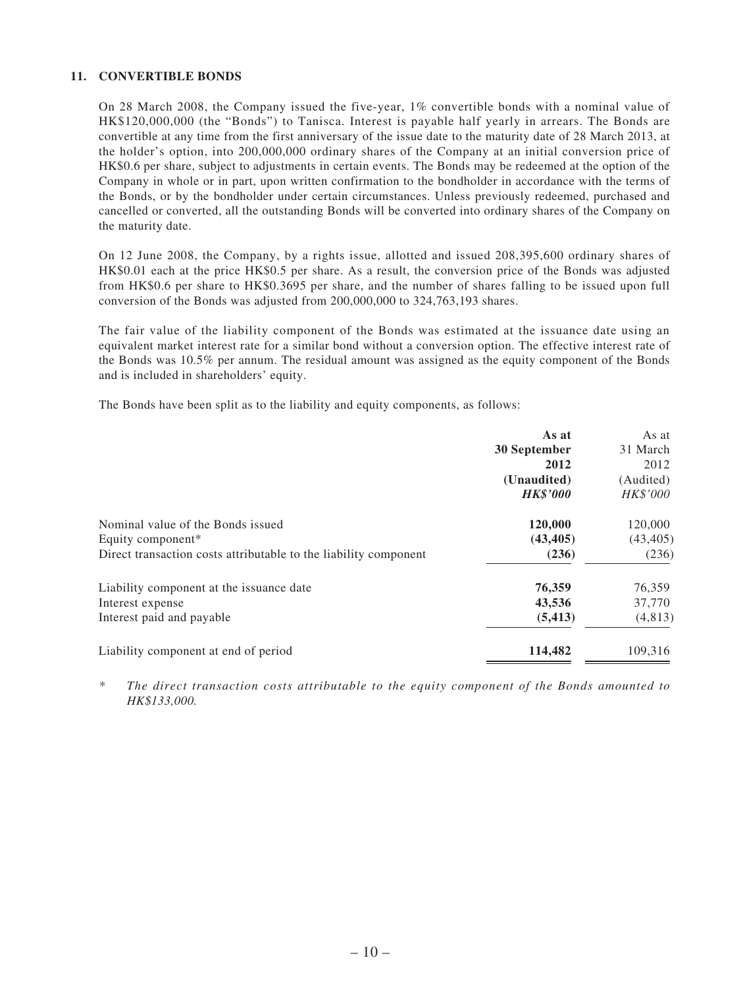#### **11. CONVERTIBLE BONDS**

On 28 March 2008, the Company issued the five-year, 1% convertible bonds with a nominal value of HK\$120,000,000 (the "Bonds") to Tanisca. Interest is payable half yearly in arrears. The Bonds are convertible at any time from the first anniversary of the issue date to the maturity date of 28 March 2013, at the holder's option, into 200,000,000 ordinary shares of the Company at an initial conversion price of HK\$0.6 per share, subject to adjustments in certain events. The Bonds may be redeemed at the option of the Company in whole or in part, upon written confirmation to the bondholder in accordance with the terms of the Bonds, or by the bondholder under certain circumstances. Unless previously redeemed, purchased and cancelled or converted, all the outstanding Bonds will be converted into ordinary shares of the Company on the maturity date.

On 12 June 2008, the Company, by a rights issue, allotted and issued 208,395,600 ordinary shares of HK\$0.01 each at the price HK\$0.5 per share. As a result, the conversion price of the Bonds was adjusted from HK\$0.6 per share to HK\$0.3695 per share, and the number of shares falling to be issued upon full conversion of the Bonds was adjusted from 200,000,000 to 324,763,193 shares.

The fair value of the liability component of the Bonds was estimated at the issuance date using an equivalent market interest rate for a similar bond without a conversion option. The effective interest rate of the Bonds was 10.5% per annum. The residual amount was assigned as the equity component of the Bonds and is included in shareholders' equity.

The Bonds have been split as to the liability and equity components, as follows:

| As at           | As at     |
|-----------------|-----------|
| 30 September    | 31 March  |
| 2012            | 2012      |
| (Unaudited)     | (Audited) |
| <b>HK\$'000</b> | HK\$'000  |
| 120,000         | 120,000   |
| (43, 405)       | (43, 405) |
| (236)           | (236)     |
| 76,359          | 76,359    |
| 43,536          | 37,770    |
| (5, 413)        | (4,813)   |
| 114,482         | 109,316   |
|                 |           |

*\* The direct transaction costs attributable to the equity component of the Bonds amounted to HK\$133,000.*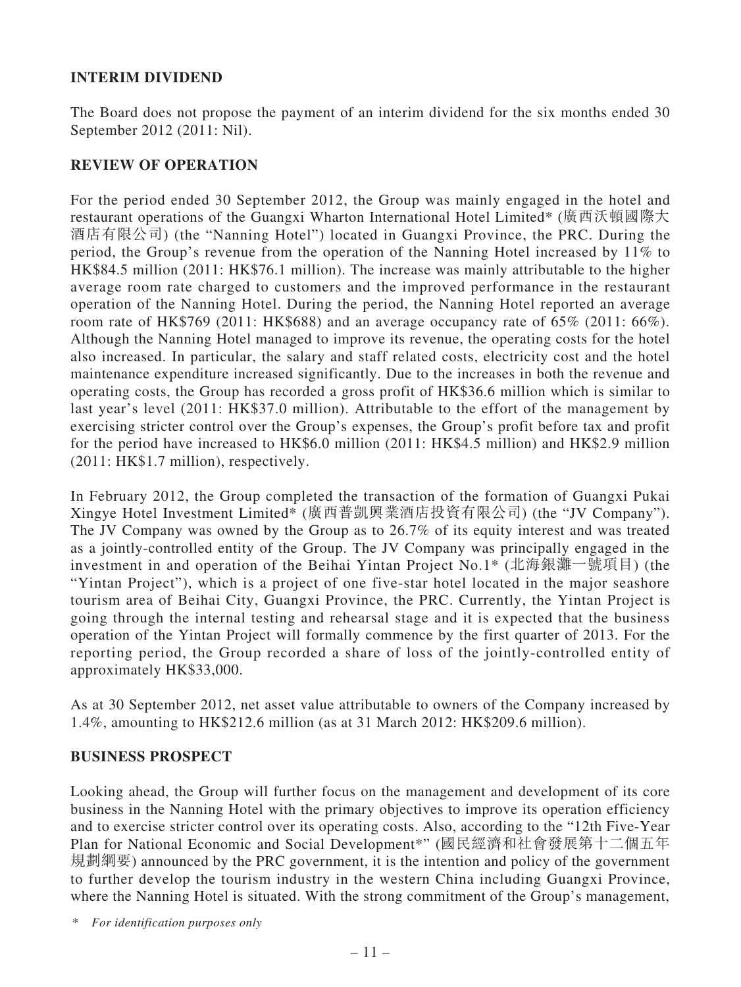### **INTERIM DIVIDEND**

The Board does not propose the payment of an interim dividend for the six months ended 30 September 2012 (2011: Nil).

### **REVIEW OF OPERATION**

For the period ended 30 September 2012, the Group was mainly engaged in the hotel and restaurant operations of the Guangxi Wharton International Hotel Limited\* (廣西沃頓國際大 酒店有限公司) (the "Nanning Hotel") located in Guangxi Province, the PRC. During the period, the Group's revenue from the operation of the Nanning Hotel increased by 11% to HK\$84.5 million (2011: HK\$76.1 million). The increase was mainly attributable to the higher average room rate charged to customers and the improved performance in the restaurant operation of the Nanning Hotel. During the period, the Nanning Hotel reported an average room rate of HK\$769 (2011: HK\$688) and an average occupancy rate of 65% (2011: 66%). Although the Nanning Hotel managed to improve its revenue, the operating costs for the hotel also increased. In particular, the salary and staff related costs, electricity cost and the hotel maintenance expenditure increased significantly. Due to the increases in both the revenue and operating costs, the Group has recorded a gross profit of HK\$36.6 million which is similar to last year's level (2011: HK\$37.0 million). Attributable to the effort of the management by exercising stricter control over the Group's expenses, the Group's profit before tax and profit for the period have increased to HK\$6.0 million (2011: HK\$4.5 million) and HK\$2.9 million (2011: HK\$1.7 million), respectively.

In February 2012, the Group completed the transaction of the formation of Guangxi Pukai Xingye Hotel Investment Limited\* (廣西普凱興業酒店投資有限公司) (the "JV Company"). The JV Company was owned by the Group as to 26.7% of its equity interest and was treated as a jointly-controlled entity of the Group. The JV Company was principally engaged in the investment in and operation of the Beihai Yintan Project No.1\* (北海銀灘一號項目) (the "Yintan Project"), which is a project of one five-star hotel located in the major seashore tourism area of Beihai City, Guangxi Province, the PRC. Currently, the Yintan Project is going through the internal testing and rehearsal stage and it is expected that the business operation of the Yintan Project will formally commence by the first quarter of 2013. For the reporting period, the Group recorded a share of loss of the jointly-controlled entity of approximately HK\$33,000.

As at 30 September 2012, net asset value attributable to owners of the Company increased by 1.4%, amounting to HK\$212.6 million (as at 31 March 2012: HK\$209.6 million).

### **BUSINESS PROSPECT**

Looking ahead, the Group will further focus on the management and development of its core business in the Nanning Hotel with the primary objectives to improve its operation efficiency and to exercise stricter control over its operating costs. Also, according to the "12th Five-Year Plan for National Economic and Social Development\*" (國民經濟和社會發展第十二個五年 規劃綱要) announced by the PRC government, it is the intention and policy of the government to further develop the tourism industry in the western China including Guangxi Province, where the Nanning Hotel is situated. With the strong commitment of the Group's management,

\* *For identification purposes only*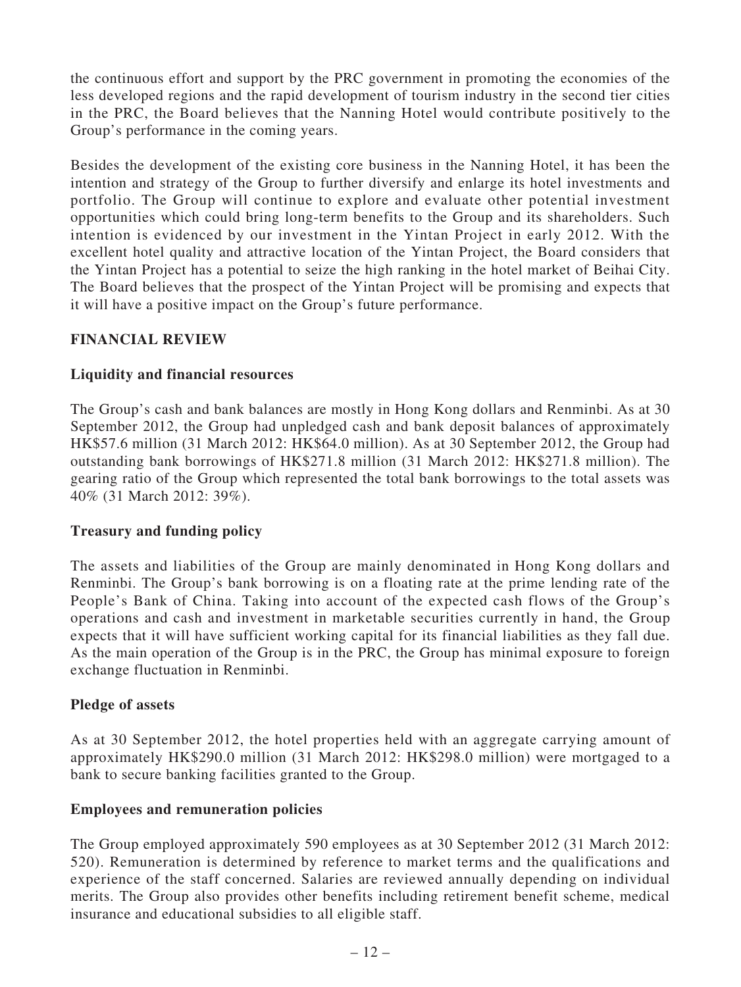the continuous effort and support by the PRC government in promoting the economies of the less developed regions and the rapid development of tourism industry in the second tier cities in the PRC, the Board believes that the Nanning Hotel would contribute positively to the Group's performance in the coming years.

Besides the development of the existing core business in the Nanning Hotel, it has been the intention and strategy of the Group to further diversify and enlarge its hotel investments and portfolio. The Group will continue to explore and evaluate other potential investment opportunities which could bring long-term benefits to the Group and its shareholders. Such intention is evidenced by our investment in the Yintan Project in early 2012. With the excellent hotel quality and attractive location of the Yintan Project, the Board considers that the Yintan Project has a potential to seize the high ranking in the hotel market of Beihai City. The Board believes that the prospect of the Yintan Project will be promising and expects that it will have a positive impact on the Group's future performance.

### **FINANCIAL REVIEW**

### **Liquidity and financial resources**

The Group's cash and bank balances are mostly in Hong Kong dollars and Renminbi. As at 30 September 2012, the Group had unpledged cash and bank deposit balances of approximately HK\$57.6 million (31 March 2012: HK\$64.0 million). As at 30 September 2012, the Group had outstanding bank borrowings of HK\$271.8 million (31 March 2012: HK\$271.8 million). The gearing ratio of the Group which represented the total bank borrowings to the total assets was 40% (31 March 2012: 39%).

### **Treasury and funding policy**

The assets and liabilities of the Group are mainly denominated in Hong Kong dollars and Renminbi. The Group's bank borrowing is on a floating rate at the prime lending rate of the People's Bank of China. Taking into account of the expected cash flows of the Group's operations and cash and investment in marketable securities currently in hand, the Group expects that it will have sufficient working capital for its financial liabilities as they fall due. As the main operation of the Group is in the PRC, the Group has minimal exposure to foreign exchange fluctuation in Renminbi.

### **Pledge of assets**

As at 30 September 2012, the hotel properties held with an aggregate carrying amount of approximately HK\$290.0 million (31 March 2012: HK\$298.0 million) were mortgaged to a bank to secure banking facilities granted to the Group.

### **Employees and remuneration policies**

The Group employed approximately 590 employees as at 30 September 2012 (31 March 2012: 520). Remuneration is determined by reference to market terms and the qualifications and experience of the staff concerned. Salaries are reviewed annually depending on individual merits. The Group also provides other benefits including retirement benefit scheme, medical insurance and educational subsidies to all eligible staff.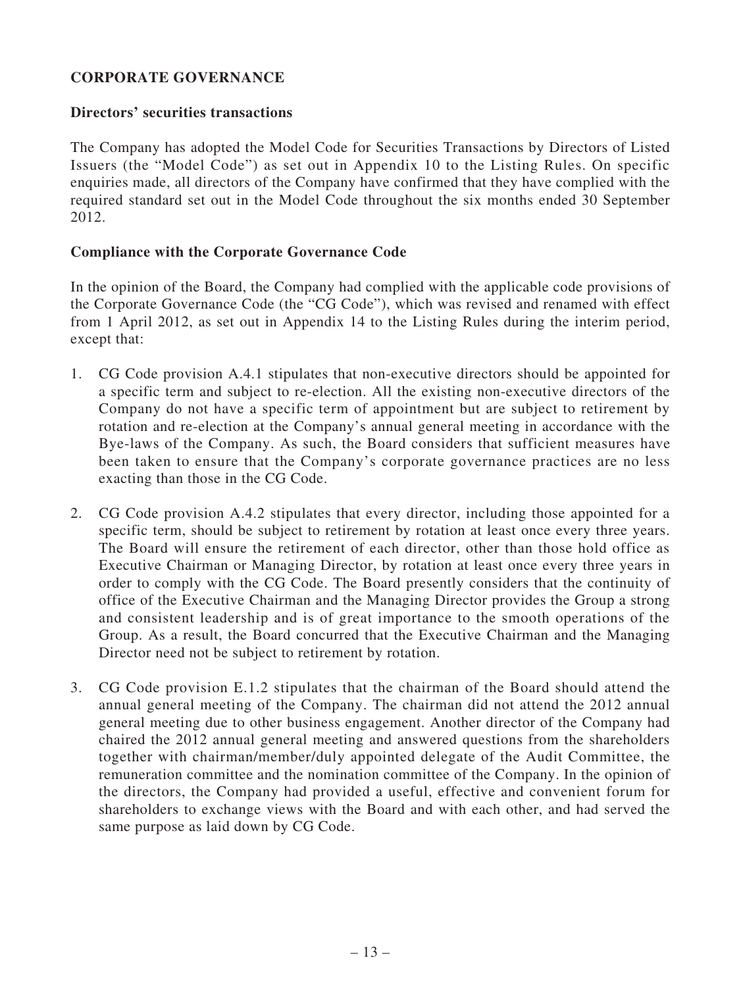### **CORPORATE GOVERNANCE**

### **Directors' securities transactions**

The Company has adopted the Model Code for Securities Transactions by Directors of Listed Issuers (the "Model Code") as set out in Appendix 10 to the Listing Rules. On specific enquiries made, all directors of the Company have confirmed that they have complied with the required standard set out in the Model Code throughout the six months ended 30 September 2012.

### **Compliance with the Corporate Governance Code**

In the opinion of the Board, the Company had complied with the applicable code provisions of the Corporate Governance Code (the "CG Code"), which was revised and renamed with effect from 1 April 2012, as set out in Appendix 14 to the Listing Rules during the interim period, except that:

- 1. CG Code provision A.4.1 stipulates that non-executive directors should be appointed for a specific term and subject to re-election. All the existing non-executive directors of the Company do not have a specific term of appointment but are subject to retirement by rotation and re-election at the Company's annual general meeting in accordance with the Bye-laws of the Company. As such, the Board considers that sufficient measures have been taken to ensure that the Company's corporate governance practices are no less exacting than those in the CG Code.
- 2. CG Code provision A.4.2 stipulates that every director, including those appointed for a specific term, should be subject to retirement by rotation at least once every three years. The Board will ensure the retirement of each director, other than those hold office as Executive Chairman or Managing Director, by rotation at least once every three years in order to comply with the CG Code. The Board presently considers that the continuity of office of the Executive Chairman and the Managing Director provides the Group a strong and consistent leadership and is of great importance to the smooth operations of the Group. As a result, the Board concurred that the Executive Chairman and the Managing Director need not be subject to retirement by rotation.
- 3. CG Code provision E.1.2 stipulates that the chairman of the Board should attend the annual general meeting of the Company. The chairman did not attend the 2012 annual general meeting due to other business engagement. Another director of the Company had chaired the 2012 annual general meeting and answered questions from the shareholders together with chairman/member/duly appointed delegate of the Audit Committee, the remuneration committee and the nomination committee of the Company. In the opinion of the directors, the Company had provided a useful, effective and convenient forum for shareholders to exchange views with the Board and with each other, and had served the same purpose as laid down by CG Code.